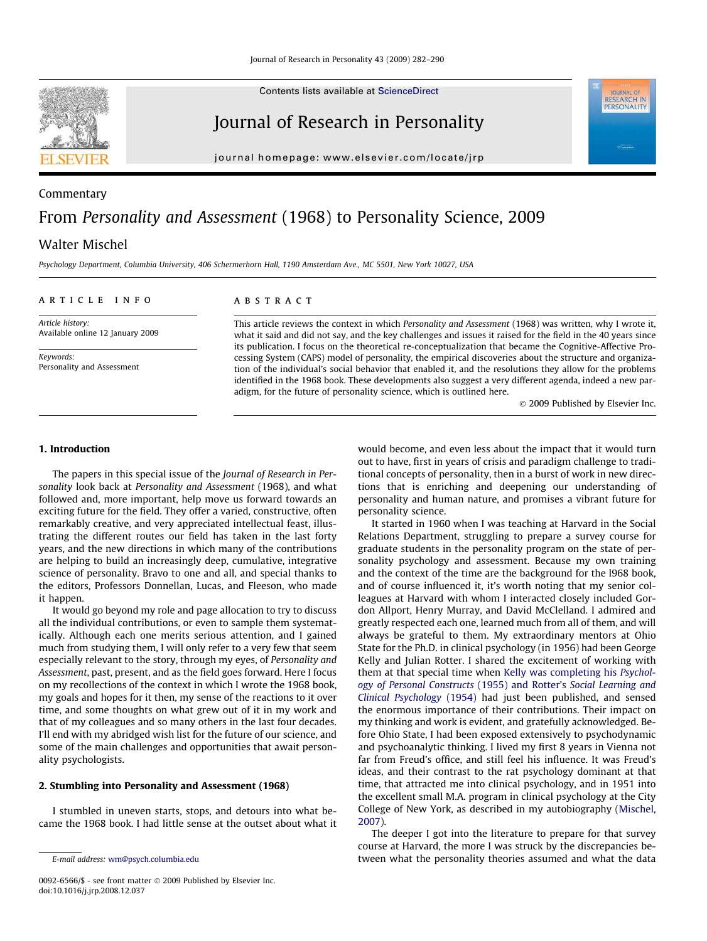Contents lists available at [ScienceDirect](http://www.sciencedirect.com/science/journal/00926566)

Journal of Research in Personality

journal homepage: [www.elsevier.com/locate/jrp](http://www.elsevier.com/locate/jrp)

# Commentary From Personality and Assessment (1968) to Personality Science, 2009

## Walter Mischel

Psychology Department, Columbia University, 406 Schermerhorn Hall, 1190 Amsterdam Ave., MC 5501, New York 10027, USA

## article info

Article history: Available online 12 January 2009

Keywords: Personality and Assessment

#### ABSTRACT

This article reviews the context in which Personality and Assessment (1968) was written, why I wrote it, what it said and did not say, and the key challenges and issues it raised for the field in the 40 years since its publication. I focus on the theoretical re-conceptualization that became the Cognitive-Affective Processing System (CAPS) model of personality, the empirical discoveries about the structure and organization of the individual's social behavior that enabled it, and the resolutions they allow for the problems identified in the 1968 book. These developments also suggest a very different agenda, indeed a new paradigm, for the future of personality science, which is outlined here.

 $© 2009$  Published by Elsevier Inc.

**JOURNAL OF**<br>RESEARCH IN PERSONALITY

## 1. Introduction

The papers in this special issue of the Journal of Research in Personality look back at Personality and Assessment (1968), and what followed and, more important, help move us forward towards an exciting future for the field. They offer a varied, constructive, often remarkably creative, and very appreciated intellectual feast, illustrating the different routes our field has taken in the last forty years, and the new directions in which many of the contributions are helping to build an increasingly deep, cumulative, integrative science of personality. Bravo to one and all, and special thanks to the editors, Professors Donnellan, Lucas, and Fleeson, who made it happen.

It would go beyond my role and page allocation to try to discuss all the individual contributions, or even to sample them systematically. Although each one merits serious attention, and I gained much from studying them, I will only refer to a very few that seem especially relevant to the story, through my eyes, of Personality and Assessment, past, present, and as the field goes forward. Here I focus on my recollections of the context in which I wrote the 1968 book, my goals and hopes for it then, my sense of the reactions to it over time, and some thoughts on what grew out of it in my work and that of my colleagues and so many others in the last four decades. I'll end with my abridged wish list for the future of our science, and some of the main challenges and opportunities that await personality psychologists.

## 2. Stumbling into Personality and Assessment (1968)

I stumbled in uneven starts, stops, and detours into what became the 1968 book. I had little sense at the outset about what it would become, and even less about the impact that it would turn out to have, first in years of crisis and paradigm challenge to traditional concepts of personality, then in a burst of work in new directions that is enriching and deepening our understanding of personality and human nature, and promises a vibrant future for personality science.

It started in 1960 when I was teaching at Harvard in the Social Relations Department, struggling to prepare a survey course for graduate students in the personality program on the state of personality psychology and assessment. Because my own training and the context of the time are the background for the l968 book, and of course influenced it, it's worth noting that my senior colleagues at Harvard with whom I interacted closely included Gordon Allport, Henry Murray, and David McClelland. I admired and greatly respected each one, learned much from all of them, and will always be grateful to them. My extraordinary mentors at Ohio State for the Ph.D. in clinical psychology (in 1956) had been George Kelly and Julian Rotter. I shared the excitement of working with them at that special time when [Kelly was completing his](#page-8-0) Psychol[ogy of Personal Constructs](#page-8-0) (1955) and Rotter's Social Learning and [Clinical Psychology](#page-8-0) (1954) had just been published, and sensed the enormous importance of their contributions. Their impact on my thinking and work is evident, and gratefully acknowledged. Before Ohio State, I had been exposed extensively to psychodynamic and psychoanalytic thinking. I lived my first 8 years in Vienna not far from Freud's office, and still feel his influence. It was Freud's ideas, and their contrast to the rat psychology dominant at that time, that attracted me into clinical psychology, and in 1951 into the excellent small M.A. program in clinical psychology at the City College of New York, as described in my autobiography ([Mischel,](#page-8-0) [2007\)](#page-8-0).

The deeper I got into the literature to prepare for that survey course at Harvard, the more I was struck by the discrepancies between what the personality theories assumed and what the data



E-mail address: [wm@psych.columbia.edu](mailto:wm@psych.columbia.edu)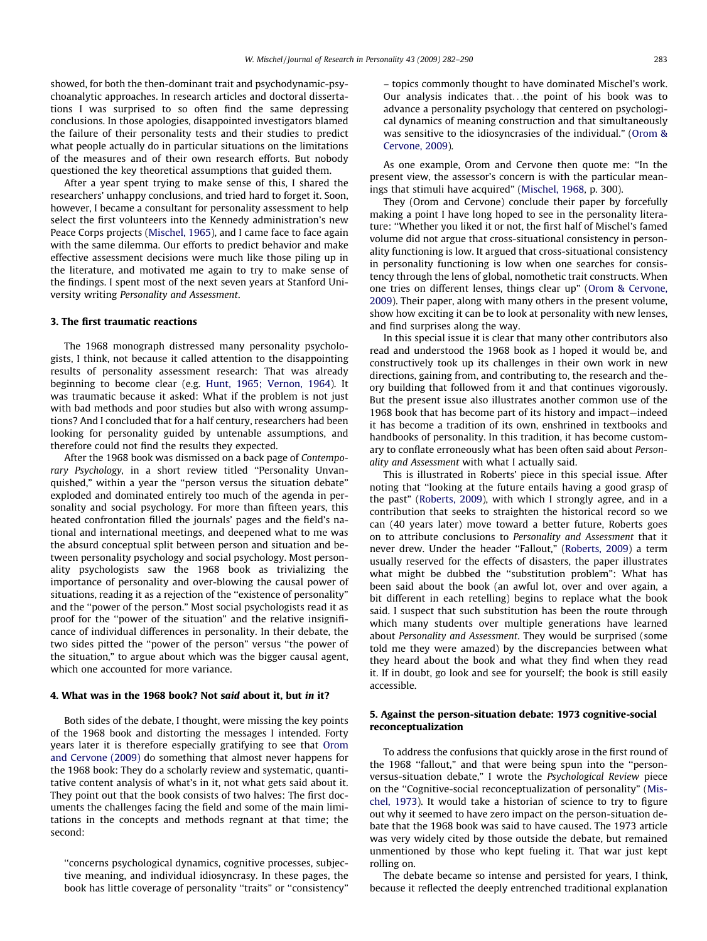showed, for both the then-dominant trait and psychodynamic-psychoanalytic approaches. In research articles and doctoral dissertations I was surprised to so often find the same depressing conclusions. In those apologies, disappointed investigators blamed the failure of their personality tests and their studies to predict what people actually do in particular situations on the limitations of the measures and of their own research efforts. But nobody questioned the key theoretical assumptions that guided them.

After a year spent trying to make sense of this, I shared the researchers' unhappy conclusions, and tried hard to forget it. Soon, however, I became a consultant for personality assessment to help select the first volunteers into the Kennedy administration's new Peace Corps projects [\(Mischel, 1965\)](#page-8-0), and I came face to face again with the same dilemma. Our efforts to predict behavior and make effective assessment decisions were much like those piling up in the literature, and motivated me again to try to make sense of the findings. I spent most of the next seven years at Stanford University writing Personality and Assessment.

## 3. The first traumatic reactions

The 1968 monograph distressed many personality psychologists, I think, not because it called attention to the disappointing results of personality assessment research: That was already beginning to become clear (e.g. [Hunt, 1965; Vernon, 1964](#page-8-0)). It was traumatic because it asked: What if the problem is not just with bad methods and poor studies but also with wrong assumptions? And I concluded that for a half century, researchers had been looking for personality guided by untenable assumptions, and therefore could not find the results they expected.

After the 1968 book was dismissed on a back page of Contemporary Psychology, in a short review titled ''Personality Unvanquished," within a year the ''person versus the situation debate" exploded and dominated entirely too much of the agenda in personality and social psychology. For more than fifteen years, this heated confrontation filled the journals' pages and the field's national and international meetings, and deepened what to me was the absurd conceptual split between person and situation and between personality psychology and social psychology. Most personality psychologists saw the 1968 book as trivializing the importance of personality and over-blowing the causal power of situations, reading it as a rejection of the ''existence of personality" and the ''power of the person." Most social psychologists read it as proof for the ''power of the situation" and the relative insignificance of individual differences in personality. In their debate, the two sides pitted the ''power of the person" versus ''the power of the situation," to argue about which was the bigger causal agent, which one accounted for more variance.

#### 4. What was in the 1968 book? Not said about it, but in it?

Both sides of the debate, I thought, were missing the key points of the 1968 book and distorting the messages I intended. Forty years later it is therefore especially gratifying to see that [Orom](#page-8-0) [and Cervone \(2009\)](#page-8-0) do something that almost never happens for the 1968 book: They do a scholarly review and systematic, quantitative content analysis of what's in it, not what gets said about it. They point out that the book consists of two halves: The first documents the challenges facing the field and some of the main limitations in the concepts and methods regnant at that time; the second:

''concerns psychological dynamics, cognitive processes, subjective meaning, and individual idiosyncrasy. In these pages, the book has little coverage of personality ''traits" or ''consistency"

– topics commonly thought to have dominated Mischel's work. Our analysis indicates that...the point of his book was to advance a personality psychology that centered on psychological dynamics of meaning construction and that simultaneously was sensitive to the idiosyncrasies of the individual." ([Orom &](#page-8-0) [Cervone, 2009](#page-8-0)).

As one example, Orom and Cervone then quote me: ''In the present view, the assessor's concern is with the particular meanings that stimuli have acquired" [\(Mischel, 1968](#page-8-0), p. 300).

They (Orom and Cervone) conclude their paper by forcefully making a point I have long hoped to see in the personality literature: ''Whether you liked it or not, the first half of Mischel's famed volume did not argue that cross-situational consistency in personality functioning is low. It argued that cross-situational consistency in personality functioning is low when one searches for consistency through the lens of global, nomothetic trait constructs. When one tries on different lenses, things clear up" ([Orom & Cervone,](#page-8-0) [2009](#page-8-0)). Their paper, along with many others in the present volume, show how exciting it can be to look at personality with new lenses, and find surprises along the way.

In this special issue it is clear that many other contributors also read and understood the 1968 book as I hoped it would be, and constructively took up its challenges in their own work in new directions, gaining from, and contributing to, the research and theory building that followed from it and that continues vigorously. But the present issue also illustrates another common use of the 1968 book that has become part of its history and impact—indeed it has become a tradition of its own, enshrined in textbooks and handbooks of personality. In this tradition, it has become customary to conflate erroneously what has been often said about Personality and Assessment with what I actually said.

This is illustrated in Roberts' piece in this special issue. After noting that ''looking at the future entails having a good grasp of the past" [\(Roberts, 2009](#page-8-0)), with which I strongly agree, and in a contribution that seeks to straighten the historical record so we can (40 years later) move toward a better future, Roberts goes on to attribute conclusions to Personality and Assessment that it never drew. Under the header "Fallout," [\(Roberts, 2009\)](#page-8-0) a term usually reserved for the effects of disasters, the paper illustrates what might be dubbed the ''substitution problem": What has been said about the book (an awful lot, over and over again, a bit different in each retelling) begins to replace what the book said. I suspect that such substitution has been the route through which many students over multiple generations have learned about Personality and Assessment. They would be surprised (some told me they were amazed) by the discrepancies between what they heard about the book and what they find when they read it. If in doubt, go look and see for yourself; the book is still easily accessible.

## 5. Against the person-situation debate: 1973 cognitive-social reconceptualization

To address the confusions that quickly arose in the first round of the 1968 ''fallout," and that were being spun into the ''personversus-situation debate," I wrote the Psychological Review piece on the ''Cognitive-social reconceptualization of personality" [\(Mis](#page-8-0)[chel, 1973\)](#page-8-0). It would take a historian of science to try to figure out why it seemed to have zero impact on the person-situation debate that the 1968 book was said to have caused. The 1973 article was very widely cited by those outside the debate, but remained unmentioned by those who kept fueling it. That war just kept rolling on.

The debate became so intense and persisted for years, I think, because it reflected the deeply entrenched traditional explanation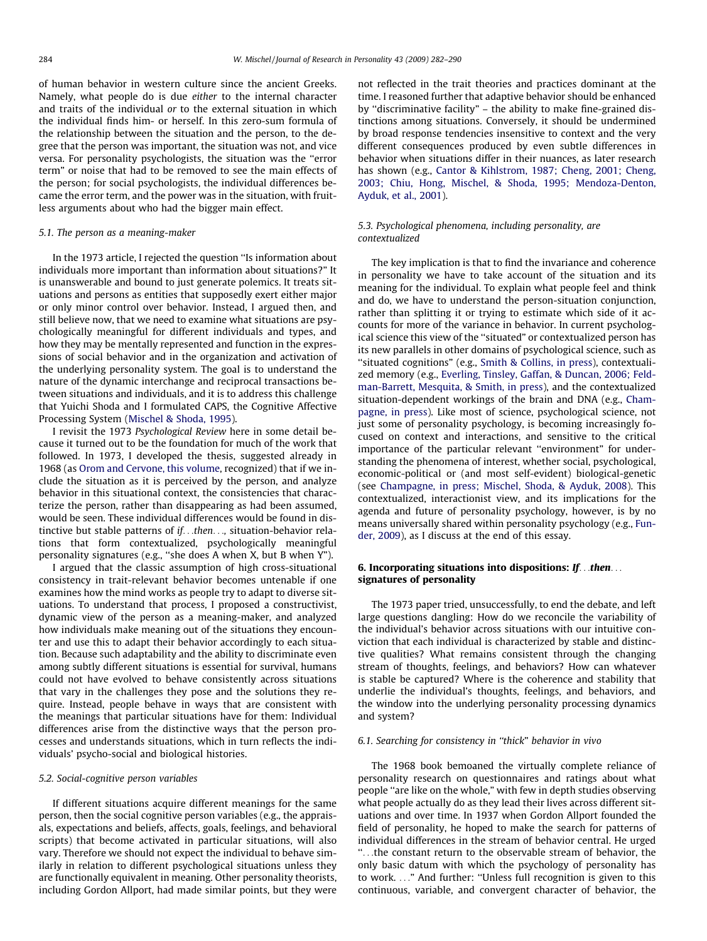of human behavior in western culture since the ancient Greeks. Namely, what people do is due either to the internal character and traits of the individual or to the external situation in which the individual finds him- or herself. In this zero-sum formula of the relationship between the situation and the person, to the degree that the person was important, the situation was not, and vice versa. For personality psychologists, the situation was the ''error term" or noise that had to be removed to see the main effects of the person; for social psychologists, the individual differences became the error term, and the power was in the situation, with fruitless arguments about who had the bigger main effect.

## 5.1. The person as a meaning-maker

In the 1973 article, I rejected the question ''Is information about individuals more important than information about situations?" It is unanswerable and bound to just generate polemics. It treats situations and persons as entities that supposedly exert either major or only minor control over behavior. Instead, I argued then, and still believe now, that we need to examine what situations are psychologically meaningful for different individuals and types, and how they may be mentally represented and function in the expressions of social behavior and in the organization and activation of the underlying personality system. The goal is to understand the nature of the dynamic interchange and reciprocal transactions between situations and individuals, and it is to address this challenge that Yuichi Shoda and I formulated CAPS, the Cognitive Affective Processing System [\(Mischel & Shoda, 1995](#page-8-0)).

I revisit the 1973 Psychological Review here in some detail because it turned out to be the foundation for much of the work that followed. In 1973, I developed the thesis, suggested already in 1968 (as [Orom and Cervone, this volume](#page-8-0), recognized) that if we include the situation as it is perceived by the person, and analyze behavior in this situational context, the consistencies that characterize the person, rather than disappearing as had been assumed, would be seen. These individual differences would be found in distinctive but stable patterns of if...then..., situation-behavior relations that form contextualized, psychologically meaningful personality signatures (e.g., ''she does A when X, but B when Y").

I argued that the classic assumption of high cross-situational consistency in trait-relevant behavior becomes untenable if one examines how the mind works as people try to adapt to diverse situations. To understand that process, I proposed a constructivist, dynamic view of the person as a meaning-maker, and analyzed how individuals make meaning out of the situations they encounter and use this to adapt their behavior accordingly to each situation. Because such adaptability and the ability to discriminate even among subtly different situations is essential for survival, humans could not have evolved to behave consistently across situations that vary in the challenges they pose and the solutions they require. Instead, people behave in ways that are consistent with the meanings that particular situations have for them: Individual differences arise from the distinctive ways that the person processes and understands situations, which in turn reflects the individuals' psycho-social and biological histories.

#### 5.2. Social-cognitive person variables

If different situations acquire different meanings for the same person, then the social cognitive person variables (e.g., the appraisals, expectations and beliefs, affects, goals, feelings, and behavioral scripts) that become activated in particular situations, will also vary. Therefore we should not expect the individual to behave similarly in relation to different psychological situations unless they are functionally equivalent in meaning. Other personality theorists, including Gordon Allport, had made similar points, but they were not reflected in the trait theories and practices dominant at the time. I reasoned further that adaptive behavior should be enhanced by ''discriminative facility" – the ability to make fine-grained distinctions among situations. Conversely, it should be undermined by broad response tendencies insensitive to context and the very different consequences produced by even subtle differences in behavior when situations differ in their nuances, as later research has shown (e.g., [Cantor & Kihlstrom, 1987; Cheng, 2001; Cheng,](#page-8-0) [2003; Chiu, Hong, Mischel, & Shoda, 1995; Mendoza-Denton,](#page-8-0) [Ayduk, et al., 2001](#page-8-0)).

## 5.3. Psychological phenomena, including personality, are contextualized

The key implication is that to find the invariance and coherence in personality we have to take account of the situation and its meaning for the individual. To explain what people feel and think and do, we have to understand the person-situation conjunction, rather than splitting it or trying to estimate which side of it accounts for more of the variance in behavior. In current psychological science this view of the ''situated" or contextualized person has its new parallels in other domains of psychological science, such as "situated cognitions" (e.g., [Smith & Collins, in press](#page-8-0)), contextualized memory (e.g., [Everling, Tinsley, Gaffan, & Duncan, 2006; Feld](#page-8-0)[man-Barrett, Mesquita, & Smith, in press\)](#page-8-0), and the contextualized situation-dependent workings of the brain and DNA (e.g., [Cham](#page-8-0)[pagne, in press](#page-8-0)). Like most of science, psychological science, not just some of personality psychology, is becoming increasingly focused on context and interactions, and sensitive to the critical importance of the particular relevant "environment" for understanding the phenomena of interest, whether social, psychological, economic-political or (and most self-evident) biological-genetic (see [Champagne, in press; Mischel, Shoda, & Ayduk, 2008\)](#page-8-0). This contextualized, interactionist view, and its implications for the agenda and future of personality psychology, however, is by no means universally shared within personality psychology (e.g., [Fun](#page-8-0)[der, 2009\)](#page-8-0), as I discuss at the end of this essay.

## 6. Incorporating situations into dispositions: If...then... signatures of personality

The 1973 paper tried, unsuccessfully, to end the debate, and left large questions dangling: How do we reconcile the variability of the individual's behavior across situations with our intuitive conviction that each individual is characterized by stable and distinctive qualities? What remains consistent through the changing stream of thoughts, feelings, and behaviors? How can whatever is stable be captured? Where is the coherence and stability that underlie the individual's thoughts, feelings, and behaviors, and the window into the underlying personality processing dynamics and system?

### 6.1. Searching for consistency in ''thick" behavior in vivo

The 1968 book bemoaned the virtually complete reliance of personality research on questionnaires and ratings about what people "are like on the whole," with few in depth studies observing what people actually do as they lead their lives across different situations and over time. In 1937 when Gordon Allport founded the field of personality, he hoped to make the search for patterns of individual differences in the stream of behavior central. He urged ''...the constant return to the observable stream of behavior, the only basic datum with which the psychology of personality has to work. ..." And further: ''Unless full recognition is given to this continuous, variable, and convergent character of behavior, the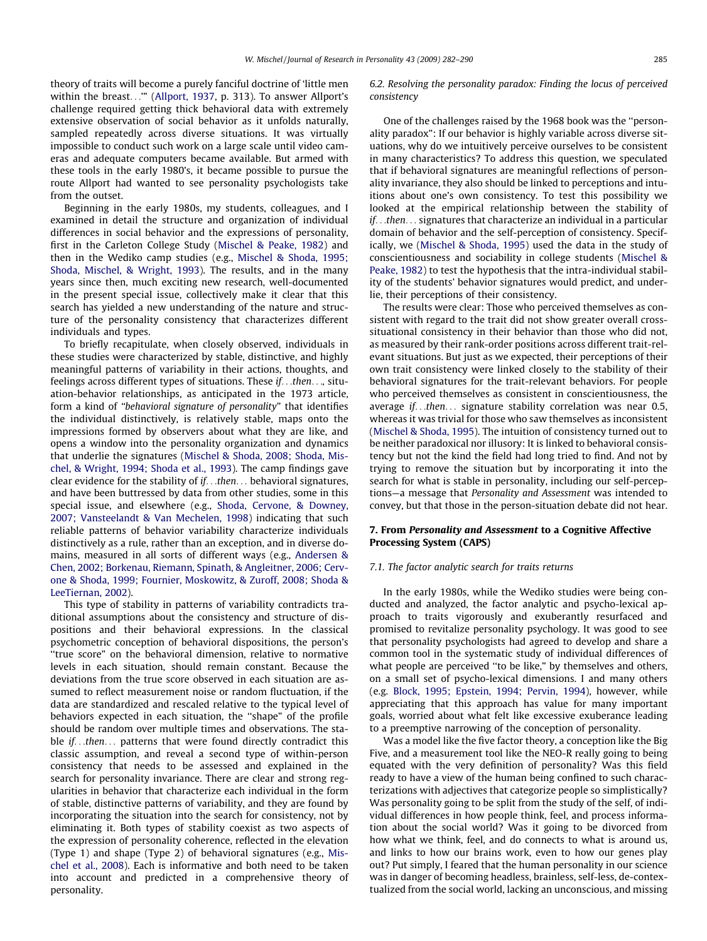theory of traits will become a purely fanciful doctrine of 'little men within the breast...'" ([Allport, 1937,](#page-7-0) p. 313). To answer Allport's challenge required getting thick behavioral data with extremely extensive observation of social behavior as it unfolds naturally, sampled repeatedly across diverse situations. It was virtually impossible to conduct such work on a large scale until video cameras and adequate computers became available. But armed with these tools in the early 1980's, it became possible to pursue the route Allport had wanted to see personality psychologists take from the outset.

Beginning in the early 1980s, my students, colleagues, and I examined in detail the structure and organization of individual differences in social behavior and the expressions of personality, first in the Carleton College Study ([Mischel & Peake, 1982\)](#page-8-0) and then in the Wediko camp studies (e.g., [Mischel & Shoda, 1995;](#page-8-0) [Shoda, Mischel, & Wright, 1993](#page-8-0)). The results, and in the many years since then, much exciting new research, well-documented in the present special issue, collectively make it clear that this search has yielded a new understanding of the nature and structure of the personality consistency that characterizes different individuals and types.

To briefly recapitulate, when closely observed, individuals in these studies were characterized by stable, distinctive, and highly meaningful patterns of variability in their actions, thoughts, and feelings across different types of situations. These if...then..., situation-behavior relationships, as anticipated in the 1973 article, form a kind of ''behavioral signature of personality" that identifies the individual distinctively, is relatively stable, maps onto the impressions formed by observers about what they are like, and opens a window into the personality organization and dynamics that underlie the signatures [\(Mischel & Shoda, 2008; Shoda, Mis](#page-8-0)[chel, & Wright, 1994; Shoda et al., 1993](#page-8-0)). The camp findings gave clear evidence for the stability of if...then... behavioral signatures, and have been buttressed by data from other studies, some in this special issue, and elsewhere (e.g., [Shoda, Cervone, & Downey,](#page-8-0) [2007; Vansteelandt & Van Mechelen, 1998](#page-8-0)) indicating that such reliable patterns of behavior variability characterize individuals distinctively as a rule, rather than an exception, and in diverse domains, measured in all sorts of different ways (e.g., [Andersen &](#page-7-0) [Chen, 2002; Borkenau, Riemann, Spinath, & Angleitner, 2006; Cerv](#page-7-0)[one & Shoda, 1999; Fournier, Moskowitz, & Zuroff, 2008; Shoda &](#page-7-0) [LeeTiernan, 2002](#page-7-0)).

This type of stability in patterns of variability contradicts traditional assumptions about the consistency and structure of dispositions and their behavioral expressions. In the classical psychometric conception of behavioral dispositions, the person's ''true score" on the behavioral dimension, relative to normative levels in each situation, should remain constant. Because the deviations from the true score observed in each situation are assumed to reflect measurement noise or random fluctuation, if the data are standardized and rescaled relative to the typical level of behaviors expected in each situation, the ''shape" of the profile should be random over multiple times and observations. The stable *if...then...* patterns that were found directly contradict this classic assumption, and reveal a second type of within-person consistency that needs to be assessed and explained in the search for personality invariance. There are clear and strong regularities in behavior that characterize each individual in the form of stable, distinctive patterns of variability, and they are found by incorporating the situation into the search for consistency, not by eliminating it. Both types of stability coexist as two aspects of the expression of personality coherence, reflected in the elevation (Type 1) and shape (Type 2) of behavioral signatures (e.g., [Mis](#page-8-0)[chel et al., 2008](#page-8-0)). Each is informative and both need to be taken into account and predicted in a comprehensive theory of personality.

## 6.2. Resolving the personality paradox: Finding the locus of perceived consistency

One of the challenges raised by the 1968 book was the ''personality paradox": If our behavior is highly variable across diverse situations, why do we intuitively perceive ourselves to be consistent in many characteristics? To address this question, we speculated that if behavioral signatures are meaningful reflections of personality invariance, they also should be linked to perceptions and intuitions about one's own consistency. To test this possibility we looked at the empirical relationship between the stability of if...then... signatures that characterize an individual in a particular domain of behavior and the self-perception of consistency. Specifically, we [\(Mischel & Shoda, 1995\)](#page-8-0) used the data in the study of conscientiousness and sociability in college students ([Mischel &](#page-8-0) [Peake, 1982](#page-8-0)) to test the hypothesis that the intra-individual stability of the students' behavior signatures would predict, and underlie, their perceptions of their consistency.

The results were clear: Those who perceived themselves as consistent with regard to the trait did not show greater overall crosssituational consistency in their behavior than those who did not, as measured by their rank-order positions across different trait-relevant situations. But just as we expected, their perceptions of their own trait consistency were linked closely to the stability of their behavioral signatures for the trait-relevant behaviors. For people who perceived themselves as consistent in conscientiousness, the average if...then... signature stability correlation was near 0.5, whereas it was trivial for those who saw themselves as inconsistent ([Mischel & Shoda, 1995\)](#page-8-0). The intuition of consistency turned out to be neither paradoxical nor illusory: It is linked to behavioral consistency but not the kind the field had long tried to find. And not by trying to remove the situation but by incorporating it into the search for what is stable in personality, including our self-perceptions—a message that Personality and Assessment was intended to convey, but that those in the person-situation debate did not hear.

## 7. From Personality and Assessment to a Cognitive Affective Processing System (CAPS)

#### 7.1. The factor analytic search for traits returns

In the early 1980s, while the Wediko studies were being conducted and analyzed, the factor analytic and psycho-lexical approach to traits vigorously and exuberantly resurfaced and promised to revitalize personality psychology. It was good to see that personality psychologists had agreed to develop and share a common tool in the systematic study of individual differences of what people are perceived "to be like," by themselves and others, on a small set of psycho-lexical dimensions. I and many others (e.g. [Block, 1995; Epstein, 1994; Pervin, 1994\)](#page-8-0), however, while appreciating that this approach has value for many important goals, worried about what felt like excessive exuberance leading to a preemptive narrowing of the conception of personality.

Was a model like the five factor theory, a conception like the Big Five, and a measurement tool like the NEO-R really going to being equated with the very definition of personality? Was this field ready to have a view of the human being confined to such characterizations with adjectives that categorize people so simplistically? Was personality going to be split from the study of the self, of individual differences in how people think, feel, and process information about the social world? Was it going to be divorced from how what we think, feel, and do connects to what is around us, and links to how our brains work, even to how our genes play out? Put simply, I feared that the human personality in our science was in danger of becoming headless, brainless, self-less, de-contextualized from the social world, lacking an unconscious, and missing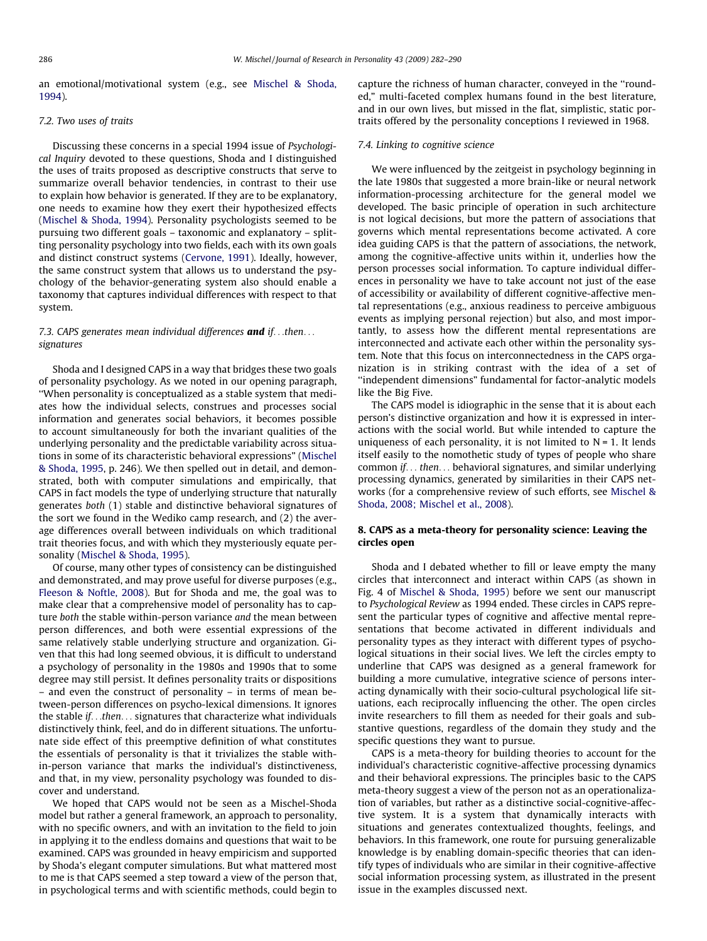an emotional/motivational system (e.g., see [Mischel & Shoda,](#page-8-0) [1994\)](#page-8-0).

## 7.2. Two uses of traits

Discussing these concerns in a special 1994 issue of Psychological Inquiry devoted to these questions, Shoda and I distinguished the uses of traits proposed as descriptive constructs that serve to summarize overall behavior tendencies, in contrast to their use to explain how behavior is generated. If they are to be explanatory, one needs to examine how they exert their hypothesized effects ([Mischel & Shoda, 1994](#page-8-0)). Personality psychologists seemed to be pursuing two different goals – taxonomic and explanatory – splitting personality psychology into two fields, each with its own goals and distinct construct systems [\(Cervone, 1991\)](#page-8-0). Ideally, however, the same construct system that allows us to understand the psychology of the behavior-generating system also should enable a taxonomy that captures individual differences with respect to that system.

## 7.3. CAPS generates mean individual differences and if...then... signatures

Shoda and I designed CAPS in a way that bridges these two goals of personality psychology. As we noted in our opening paragraph, ''When personality is conceptualized as a stable system that mediates how the individual selects, construes and processes social information and generates social behaviors, it becomes possible to account simultaneously for both the invariant qualities of the underlying personality and the predictable variability across situations in some of its characteristic behavioral expressions" [\(Mischel](#page-8-0) [& Shoda, 1995](#page-8-0), p. 246). We then spelled out in detail, and demonstrated, both with computer simulations and empirically, that CAPS in fact models the type of underlying structure that naturally generates both (1) stable and distinctive behavioral signatures of the sort we found in the Wediko camp research, and (2) the average differences overall between individuals on which traditional trait theories focus, and with which they mysteriously equate personality [\(Mischel & Shoda, 1995](#page-8-0)).

Of course, many other types of consistency can be distinguished and demonstrated, and may prove useful for diverse purposes (e.g., [Fleeson & Noftle, 2008](#page-8-0)). But for Shoda and me, the goal was to make clear that a comprehensive model of personality has to capture both the stable within-person variance and the mean between person differences, and both were essential expressions of the same relatively stable underlying structure and organization. Given that this had long seemed obvious, it is difficult to understand a psychology of personality in the 1980s and 1990s that to some degree may still persist. It defines personality traits or dispositions – and even the construct of personality – in terms of mean between-person differences on psycho-lexical dimensions. It ignores the stable if...then... signatures that characterize what individuals distinctively think, feel, and do in different situations. The unfortunate side effect of this preemptive definition of what constitutes the essentials of personality is that it trivializes the stable within-person variance that marks the individual's distinctiveness, and that, in my view, personality psychology was founded to discover and understand.

We hoped that CAPS would not be seen as a Mischel-Shoda model but rather a general framework, an approach to personality, with no specific owners, and with an invitation to the field to join in applying it to the endless domains and questions that wait to be examined. CAPS was grounded in heavy empiricism and supported by Shoda's elegant computer simulations. But what mattered most to me is that CAPS seemed a step toward a view of the person that, in psychological terms and with scientific methods, could begin to capture the richness of human character, conveyed in the ''rounded," multi-faceted complex humans found in the best literature, and in our own lives, but missed in the flat, simplistic, static portraits offered by the personality conceptions I reviewed in 1968.

## 7.4. Linking to cognitive science

We were influenced by the zeitgeist in psychology beginning in the late 1980s that suggested a more brain-like or neural network information-processing architecture for the general model we developed. The basic principle of operation in such architecture is not logical decisions, but more the pattern of associations that governs which mental representations become activated. A core idea guiding CAPS is that the pattern of associations, the network, among the cognitive-affective units within it, underlies how the person processes social information. To capture individual differences in personality we have to take account not just of the ease of accessibility or availability of different cognitive-affective mental representations (e.g., anxious readiness to perceive ambiguous events as implying personal rejection) but also, and most importantly, to assess how the different mental representations are interconnected and activate each other within the personality system. Note that this focus on interconnectedness in the CAPS organization is in striking contrast with the idea of a set of ''independent dimensions" fundamental for factor-analytic models like the Big Five.

The CAPS model is idiographic in the sense that it is about each person's distinctive organization and how it is expressed in interactions with the social world. But while intended to capture the uniqueness of each personality, it is not limited to  $N = 1$ . It lends itself easily to the nomothetic study of types of people who share common if... then... behavioral signatures, and similar underlying processing dynamics, generated by similarities in their CAPS networks (for a comprehensive review of such efforts, see [Mischel &](#page-8-0) [Shoda, 2008; Mischel et al., 2008\)](#page-8-0).

## 8. CAPS as a meta-theory for personality science: Leaving the circles open

Shoda and I debated whether to fill or leave empty the many circles that interconnect and interact within CAPS (as shown in Fig. 4 of [Mischel & Shoda, 1995\)](#page-8-0) before we sent our manuscript to Psychological Review as 1994 ended. These circles in CAPS represent the particular types of cognitive and affective mental representations that become activated in different individuals and personality types as they interact with different types of psychological situations in their social lives. We left the circles empty to underline that CAPS was designed as a general framework for building a more cumulative, integrative science of persons interacting dynamically with their socio-cultural psychological life situations, each reciprocally influencing the other. The open circles invite researchers to fill them as needed for their goals and substantive questions, regardless of the domain they study and the specific questions they want to pursue.

CAPS is a meta-theory for building theories to account for the individual's characteristic cognitive-affective processing dynamics and their behavioral expressions. The principles basic to the CAPS meta-theory suggest a view of the person not as an operationalization of variables, but rather as a distinctive social-cognitive-affective system. It is a system that dynamically interacts with situations and generates contextualized thoughts, feelings, and behaviors. In this framework, one route for pursuing generalizable knowledge is by enabling domain-specific theories that can identify types of individuals who are similar in their cognitive-affective social information processing system, as illustrated in the present issue in the examples discussed next.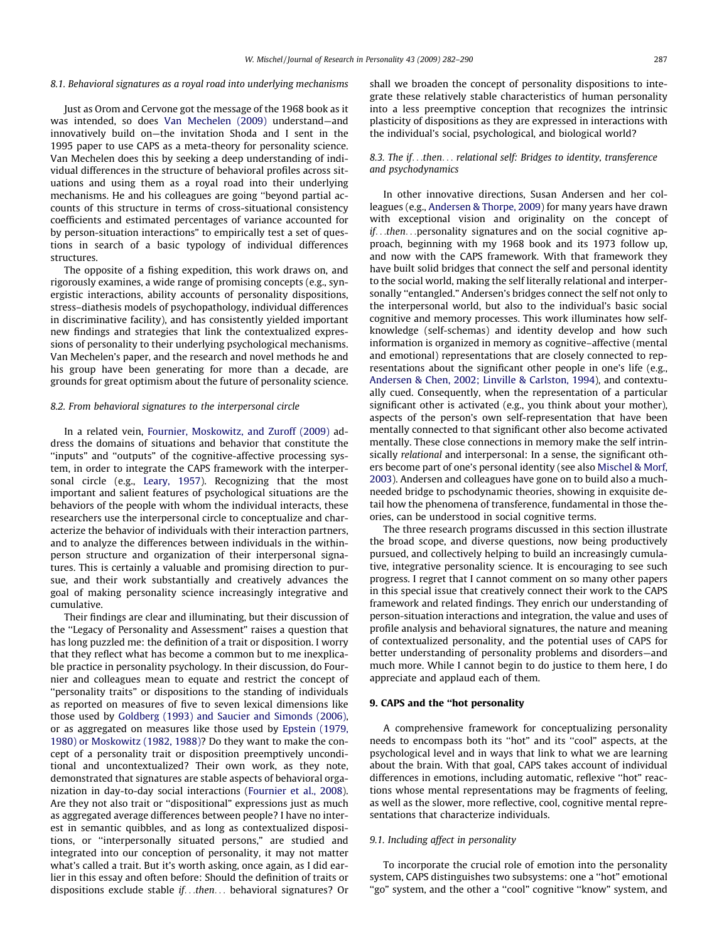#### 8.1. Behavioral signatures as a royal road into underlying mechanisms

Just as Orom and Cervone got the message of the 1968 book as it was intended, so does [Van Mechelen \(2009\)](#page-8-0) understand—and innovatively build on—the invitation Shoda and I sent in the 1995 paper to use CAPS as a meta-theory for personality science. Van Mechelen does this by seeking a deep understanding of individual differences in the structure of behavioral profiles across situations and using them as a royal road into their underlying mechanisms. He and his colleagues are going ''beyond partial accounts of this structure in terms of cross-situational consistency coefficients and estimated percentages of variance accounted for by person-situation interactions" to empirically test a set of questions in search of a basic typology of individual differences structures.

The opposite of a fishing expedition, this work draws on, and rigorously examines, a wide range of promising concepts (e.g., synergistic interactions, ability accounts of personality dispositions, stress–diathesis models of psychopathology, individual differences in discriminative facility), and has consistently yielded important new findings and strategies that link the contextualized expressions of personality to their underlying psychological mechanisms. Van Mechelen's paper, and the research and novel methods he and his group have been generating for more than a decade, are grounds for great optimism about the future of personality science.

#### 8.2. From behavioral signatures to the interpersonal circle

In a related vein, [Fournier, Moskowitz, and Zuroff \(2009\)](#page-8-0) address the domains of situations and behavior that constitute the ''inputs" and ''outputs" of the cognitive-affective processing system, in order to integrate the CAPS framework with the interpersonal circle (e.g., [Leary, 1957](#page-8-0)). Recognizing that the most important and salient features of psychological situations are the behaviors of the people with whom the individual interacts, these researchers use the interpersonal circle to conceptualize and characterize the behavior of individuals with their interaction partners, and to analyze the differences between individuals in the withinperson structure and organization of their interpersonal signatures. This is certainly a valuable and promising direction to pursue, and their work substantially and creatively advances the goal of making personality science increasingly integrative and cumulative.

Their findings are clear and illuminating, but their discussion of the ''Legacy of Personality and Assessment" raises a question that has long puzzled me: the definition of a trait or disposition. I worry that they reflect what has become a common but to me inexplicable practice in personality psychology. In their discussion, do Fournier and colleagues mean to equate and restrict the concept of ''personality traits" or dispositions to the standing of individuals as reported on measures of five to seven lexical dimensions like those used by [Goldberg \(1993\) and Saucier and Simonds \(2006\),](#page-8-0) or as aggregated on measures like those used by [Epstein \(1979,](#page-8-0) [1980\) or Moskowitz \(1982, 1988\)](#page-8-0)? Do they want to make the concept of a personality trait or disposition preemptively unconditional and uncontextualized? Their own work, as they note, demonstrated that signatures are stable aspects of behavioral organization in day-to-day social interactions [\(Fournier et al., 2008\)](#page-8-0). Are they not also trait or ''dispositional" expressions just as much as aggregated average differences between people? I have no interest in semantic quibbles, and as long as contextualized dispositions, or ''interpersonally situated persons," are studied and integrated into our conception of personality, it may not matter what's called a trait. But it's worth asking, once again, as I did earlier in this essay and often before: Should the definition of traits or dispositions exclude stable if...then... behavioral signatures? Or

shall we broaden the concept of personality dispositions to integrate these relatively stable characteristics of human personality into a less preemptive conception that recognizes the intrinsic plasticity of dispositions as they are expressed in interactions with the individual's social, psychological, and biological world?

## 8.3. The if...then... relational self: Bridges to identity, transference and psychodynamics

In other innovative directions, Susan Andersen and her colleagues (e.g., [Andersen & Thorpe, 2009\)](#page-7-0) for many years have drawn with exceptional vision and originality on the concept of if...then...personality signatures and on the social cognitive approach, beginning with my 1968 book and its 1973 follow up, and now with the CAPS framework. With that framework they have built solid bridges that connect the self and personal identity to the social world, making the self literally relational and interpersonally ''entangled." Andersen's bridges connect the self not only to the interpersonal world, but also to the individual's basic social cognitive and memory processes. This work illuminates how selfknowledge (self-schemas) and identity develop and how such information is organized in memory as cognitive–affective (mental and emotional) representations that are closely connected to representations about the significant other people in one's life (e.g., [Andersen & Chen, 2002; Linville & Carlston, 1994](#page-7-0)), and contextually cued. Consequently, when the representation of a particular significant other is activated (e.g., you think about your mother), aspects of the person's own self-representation that have been mentally connected to that significant other also become activated mentally. These close connections in memory make the self intrinsically relational and interpersonal: In a sense, the significant others become part of one's personal identity (see also [Mischel & Morf,](#page-8-0) [2003](#page-8-0)). Andersen and colleagues have gone on to build also a muchneeded bridge to pschodynamic theories, showing in exquisite detail how the phenomena of transference, fundamental in those theories, can be understood in social cognitive terms.

The three research programs discussed in this section illustrate the broad scope, and diverse questions, now being productively pursued, and collectively helping to build an increasingly cumulative, integrative personality science. It is encouraging to see such progress. I regret that I cannot comment on so many other papers in this special issue that creatively connect their work to the CAPS framework and related findings. They enrich our understanding of person-situation interactions and integration, the value and uses of profile analysis and behavioral signatures, the nature and meaning of contextualized personality, and the potential uses of CAPS for better understanding of personality problems and disorders—and much more. While I cannot begin to do justice to them here, I do appreciate and applaud each of them.

## 9. CAPS and the ''hot personality

A comprehensive framework for conceptualizing personality needs to encompass both its ''hot" and its ''cool" aspects, at the psychological level and in ways that link to what we are learning about the brain. With that goal, CAPS takes account of individual differences in emotions, including automatic, reflexive ''hot" reactions whose mental representations may be fragments of feeling, as well as the slower, more reflective, cool, cognitive mental representations that characterize individuals.

## 9.1. Including affect in personality

To incorporate the crucial role of emotion into the personality system, CAPS distinguishes two subsystems: one a ''hot" emotional "go" system, and the other a "cool" cognitive "know" system, and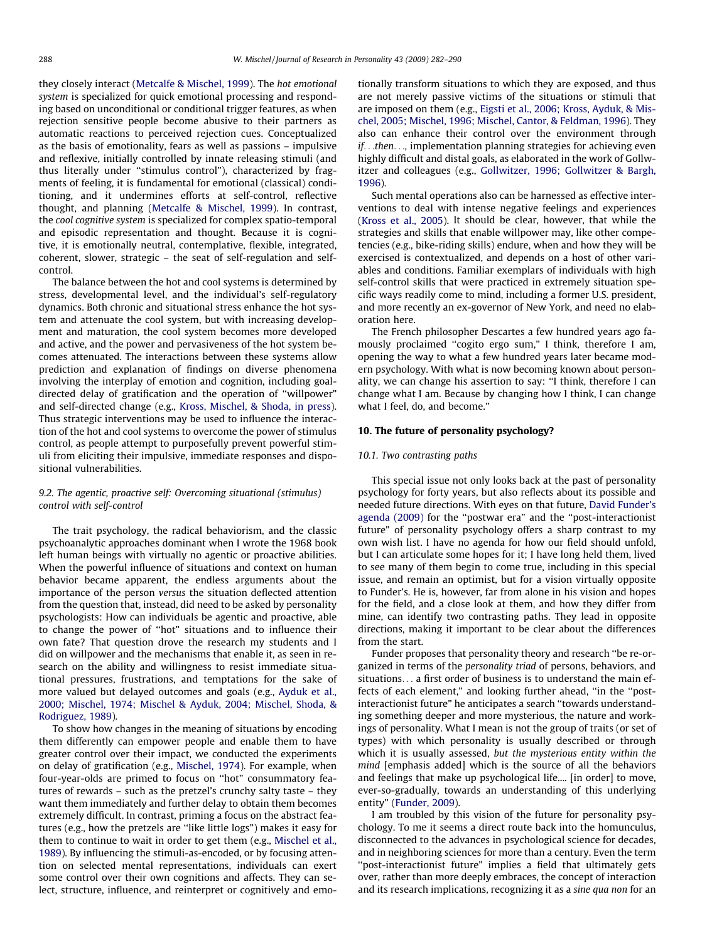they closely interact ([Metcalfe & Mischel, 1999](#page-8-0)). The hot emotional system is specialized for quick emotional processing and responding based on unconditional or conditional trigger features, as when rejection sensitive people become abusive to their partners as automatic reactions to perceived rejection cues. Conceptualized as the basis of emotionality, fears as well as passions – impulsive and reflexive, initially controlled by innate releasing stimuli (and thus literally under ''stimulus control"), characterized by fragments of feeling, it is fundamental for emotional (classical) conditioning, and it undermines efforts at self-control, reflective thought, and planning [\(Metcalfe & Mischel, 1999\)](#page-8-0). In contrast, the cool cognitive system is specialized for complex spatio-temporal and episodic representation and thought. Because it is cognitive, it is emotionally neutral, contemplative, flexible, integrated, coherent, slower, strategic – the seat of self-regulation and selfcontrol.

The balance between the hot and cool systems is determined by stress, developmental level, and the individual's self-regulatory dynamics. Both chronic and situational stress enhance the hot system and attenuate the cool system, but with increasing development and maturation, the cool system becomes more developed and active, and the power and pervasiveness of the hot system becomes attenuated. The interactions between these systems allow prediction and explanation of findings on diverse phenomena involving the interplay of emotion and cognition, including goaldirected delay of gratification and the operation of ''willpower" and self-directed change (e.g., [Kross, Mischel, & Shoda, in press\)](#page-8-0). Thus strategic interventions may be used to influence the interaction of the hot and cool systems to overcome the power of stimulus control, as people attempt to purposefully prevent powerful stimuli from eliciting their impulsive, immediate responses and dispositional vulnerabilities.

## 9.2. The agentic, proactive self: Overcoming situational (stimulus) control with self-control

The trait psychology, the radical behaviorism, and the classic psychoanalytic approaches dominant when I wrote the 1968 book left human beings with virtually no agentic or proactive abilities. When the powerful influence of situations and context on human behavior became apparent, the endless arguments about the importance of the person versus the situation deflected attention from the question that, instead, did need to be asked by personality psychologists: How can individuals be agentic and proactive, able to change the power of ''hot" situations and to influence their own fate? That question drove the research my students and I did on willpower and the mechanisms that enable it, as seen in research on the ability and willingness to resist immediate situational pressures, frustrations, and temptations for the sake of more valued but delayed outcomes and goals (e.g., [Ayduk et al.,](#page-7-0) [2000; Mischel, 1974; Mischel & Ayduk, 2004; Mischel, Shoda, &](#page-7-0) [Rodriguez, 1989](#page-7-0)).

To show how changes in the meaning of situations by encoding them differently can empower people and enable them to have greater control over their impact, we conducted the experiments on delay of gratification (e.g., [Mischel, 1974](#page-8-0)). For example, when four-year-olds are primed to focus on ''hot" consummatory features of rewards – such as the pretzel's crunchy salty taste – they want them immediately and further delay to obtain them becomes extremely difficult. In contrast, priming a focus on the abstract features (e.g., how the pretzels are ''like little logs") makes it easy for them to continue to wait in order to get them (e.g., [Mischel et al.,](#page-8-0) [1989\)](#page-8-0). By influencing the stimuli-as-encoded, or by focusing attention on selected mental representations, individuals can exert some control over their own cognitions and affects. They can select, structure, influence, and reinterpret or cognitively and emotionally transform situations to which they are exposed, and thus are not merely passive victims of the situations or stimuli that are imposed on them (e.g., [Eigsti et al., 2006; Kross, Ayduk, & Mis](#page-8-0)[chel, 2005; Mischel, 1996; Mischel, Cantor, & Feldman, 1996\)](#page-8-0). They also can enhance their control over the environment through if...then..., implementation planning strategies for achieving even highly difficult and distal goals, as elaborated in the work of Gollwitzer and colleagues (e.g., [Gollwitzer, 1996; Gollwitzer & Bargh,](#page-8-0) [1996\)](#page-8-0).

Such mental operations also can be harnessed as effective interventions to deal with intense negative feelings and experiences ([Kross et al., 2005\)](#page-8-0). It should be clear, however, that while the strategies and skills that enable willpower may, like other competencies (e.g., bike-riding skills) endure, when and how they will be exercised is contextualized, and depends on a host of other variables and conditions. Familiar exemplars of individuals with high self-control skills that were practiced in extremely situation specific ways readily come to mind, including a former U.S. president, and more recently an ex-governor of New York, and need no elaboration here.

The French philosopher Descartes a few hundred years ago famously proclaimed ''cogito ergo sum," I think, therefore I am, opening the way to what a few hundred years later became modern psychology. With what is now becoming known about personality, we can change his assertion to say: ''I think, therefore I can change what I am. Because by changing how I think, I can change what I feel, do, and become."

## 10. The future of personality psychology?

#### 10.1. Two contrasting paths

This special issue not only looks back at the past of personality psychology for forty years, but also reflects about its possible and needed future directions. With eyes on that future, [David Funder's](#page-8-0) [agenda \(2009\)](#page-8-0) for the ''postwar era" and the ''post-interactionist future" of personality psychology offers a sharp contrast to my own wish list. I have no agenda for how our field should unfold, but I can articulate some hopes for it; I have long held them, lived to see many of them begin to come true, including in this special issue, and remain an optimist, but for a vision virtually opposite to Funder's. He is, however, far from alone in his vision and hopes for the field, and a close look at them, and how they differ from mine, can identify two contrasting paths. They lead in opposite directions, making it important to be clear about the differences from the start.

Funder proposes that personality theory and research ''be re-organized in terms of the personality triad of persons, behaviors, and situations... a first order of business is to understand the main effects of each element," and looking further ahead, ''in the ''postinteractionist future" he anticipates a search ''towards understanding something deeper and more mysterious, the nature and workings of personality. What I mean is not the group of traits (or set of types) with which personality is usually described or through which it is usually assessed, but the mysterious entity within the mind [emphasis added] which is the source of all the behaviors and feelings that make up psychological life.... [in order] to move, ever-so-gradually, towards an understanding of this underlying entity" [\(Funder, 2009](#page-8-0)).

I am troubled by this vision of the future for personality psychology. To me it seems a direct route back into the homunculus, disconnected to the advances in psychological science for decades, and in neighboring sciences for more than a century. Even the term ''post-interactionist future" implies a field that ultimately gets over, rather than more deeply embraces, the concept of interaction and its research implications, recognizing it as a sine qua non for an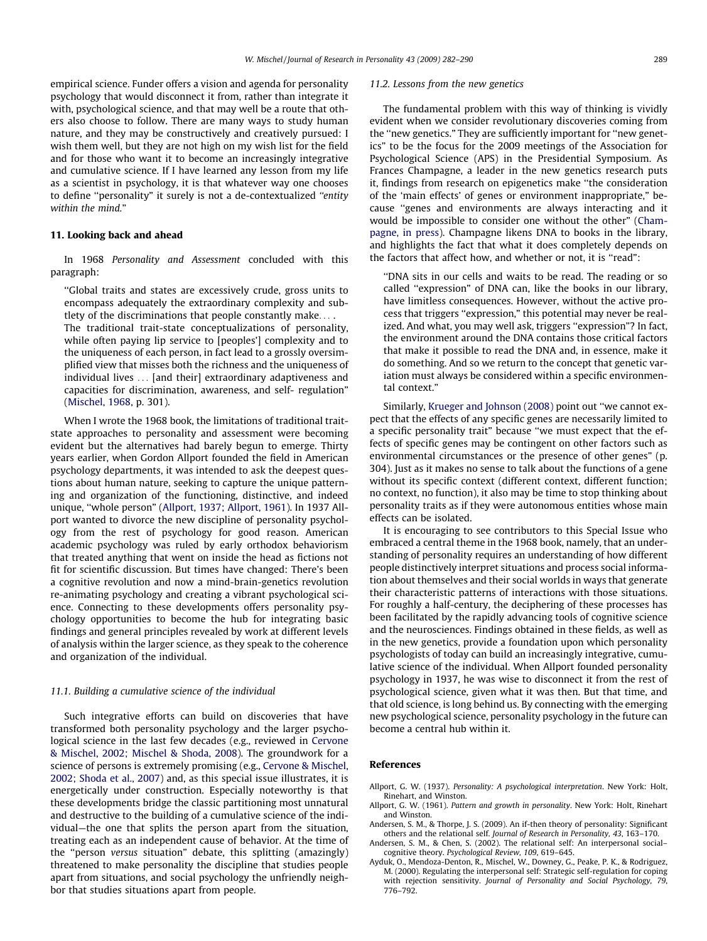<span id="page-7-0"></span>empirical science. Funder offers a vision and agenda for personality psychology that would disconnect it from, rather than integrate it with, psychological science, and that may well be a route that others also choose to follow. There are many ways to study human nature, and they may be constructively and creatively pursued: I wish them well, but they are not high on my wish list for the field and for those who want it to become an increasingly integrative and cumulative science. If I have learned any lesson from my life as a scientist in psychology, it is that whatever way one chooses to define ''personality" it surely is not a de-contextualized ''entity within the mind."

## 11. Looking back and ahead

In 1968 Personality and Assessment concluded with this paragraph:

''Global traits and states are excessively crude, gross units to encompass adequately the extraordinary complexity and subtlety of the discriminations that people constantly make... .

The traditional trait-state conceptualizations of personality, while often paying lip service to [peoples'] complexity and to the uniqueness of each person, in fact lead to a grossly oversimplified view that misses both the richness and the uniqueness of individual lives ... [and their] extraordinary adaptiveness and capacities for discrimination, awareness, and self- regulation" [\(Mischel, 1968](#page-8-0), p. 301).

When I wrote the 1968 book, the limitations of traditional traitstate approaches to personality and assessment were becoming evident but the alternatives had barely begun to emerge. Thirty years earlier, when Gordon Allport founded the field in American psychology departments, it was intended to ask the deepest questions about human nature, seeking to capture the unique patterning and organization of the functioning, distinctive, and indeed unique, ''whole person" (Allport, 1937; Allport, 1961). In 1937 Allport wanted to divorce the new discipline of personality psychology from the rest of psychology for good reason. American academic psychology was ruled by early orthodox behaviorism that treated anything that went on inside the head as fictions not fit for scientific discussion. But times have changed: There's been a cognitive revolution and now a mind-brain-genetics revolution re-animating psychology and creating a vibrant psychological science. Connecting to these developments offers personality psychology opportunities to become the hub for integrating basic findings and general principles revealed by work at different levels of analysis within the larger science, as they speak to the coherence and organization of the individual.

#### 11.1. Building a cumulative science of the individual

Such integrative efforts can build on discoveries that have transformed both personality psychology and the larger psychological science in the last few decades (e.g., reviewed in [Cervone](#page-8-0) [& Mischel, 2002; Mischel & Shoda, 2008](#page-8-0)). The groundwork for a science of persons is extremely promising (e.g., [Cervone & Mischel,](#page-8-0) [2002; Shoda et al., 2007\)](#page-8-0) and, as this special issue illustrates, it is energetically under construction. Especially noteworthy is that these developments bridge the classic partitioning most unnatural and destructive to the building of a cumulative science of the individual—the one that splits the person apart from the situation, treating each as an independent cause of behavior. At the time of the ''person versus situation" debate, this splitting (amazingly) threatened to make personality the discipline that studies people apart from situations, and social psychology the unfriendly neighbor that studies situations apart from people.

## 11.2. Lessons from the new genetics

The fundamental problem with this way of thinking is vividly evident when we consider revolutionary discoveries coming from the ''new genetics." They are sufficiently important for ''new genetics" to be the focus for the 2009 meetings of the Association for Psychological Science (APS) in the Presidential Symposium. As Frances Champagne, a leader in the new genetics research puts it, findings from research on epigenetics make ''the consideration of the 'main effects' of genes or environment inappropriate," because ''genes and environments are always interacting and it would be impossible to consider one without the other" ([Cham](#page-8-0)[pagne, in press](#page-8-0)). Champagne likens DNA to books in the library, and highlights the fact that what it does completely depends on the factors that affect how, and whether or not, it is ''read":

''DNA sits in our cells and waits to be read. The reading or so called ''expression" of DNA can, like the books in our library, have limitless consequences. However, without the active process that triggers ''expression," this potential may never be realized. And what, you may well ask, triggers ''expression"? In fact, the environment around the DNA contains those critical factors that make it possible to read the DNA and, in essence, make it do something. And so we return to the concept that genetic variation must always be considered within a specific environmental context."

Similarly, Krueger [and Johnson \(2008\)](#page-8-0) point out ''we cannot expect that the effects of any specific genes are necessarily limited to a specific personality trait" because ''we must expect that the effects of specific genes may be contingent on other factors such as environmental circumstances or the presence of other genes" (p. 304). Just as it makes no sense to talk about the functions of a gene without its specific context (different context, different function; no context, no function), it also may be time to stop thinking about personality traits as if they were autonomous entities whose main effects can be isolated.

It is encouraging to see contributors to this Special Issue who embraced a central theme in the 1968 book, namely, that an understanding of personality requires an understanding of how different people distinctively interpret situations and process social information about themselves and their social worlds in ways that generate their characteristic patterns of interactions with those situations. For roughly a half-century, the deciphering of these processes has been facilitated by the rapidly advancing tools of cognitive science and the neurosciences. Findings obtained in these fields, as well as in the new genetics, provide a foundation upon which personality psychologists of today can build an increasingly integrative, cumulative science of the individual. When Allport founded personality psychology in 1937, he was wise to disconnect it from the rest of psychological science, given what it was then. But that time, and that old science, is long behind us. By connecting with the emerging new psychological science, personality psychology in the future can become a central hub within it.

#### References

Allport, G. W. (1937). Personality: A psychological interpretation. New York: Holt, Rinehart, and Winston.

- Allport, G. W. (1961). Pattern and growth in personality. New York: Holt, Rinehart and Winston.
- Andersen, S. M., & Thorpe, J. S. (2009). An if-then theory of personality: Significant others and the relational self. Journal of Research in Personality, 43, 163–170.
- Andersen, S. M., & Chen, S. (2002). The relational self: An interpersonal social– cognitive theory. Psychological Review, 109, 619–645.
- Ayduk, O., Mendoza-Denton, R., Mischel, W., Downey, G., Peake, P. K., & Rodriguez, M. (2000). Regulating the interpersonal self: Strategic self-regulation for coping with rejection sensitivity. Journal of Personality and Social Psychology, 79, 776–792.